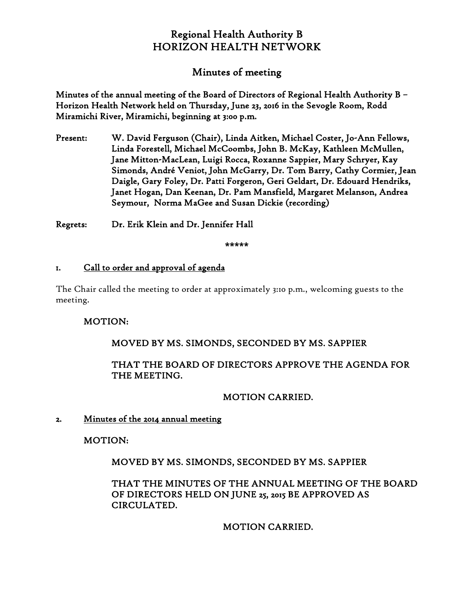# Regional Health Authority B HORIZON HEALTH NETWORK

# Minutes of meeting

Minutes of the annual meeting of the Board of Directors of Regional Health Authority B – Horizon Health Network held on Thursday, June 23, 2016 in the Sevogle Room, Rodd Miramichi River, Miramichi, beginning at 3:00 p.m.

Present: W. David Ferguson (Chair), Linda Aitken, Michael Coster, Jo-Ann Fellows, Linda Forestell, Michael McCoombs, John B. McKay, Kathleen McMullen, Jane Mitton-MacLean, Luigi Rocca, Roxanne Sappier, Mary Schryer, Kay Simonds, André Veniot, John McGarry, Dr. Tom Barry, Cathy Cormier, Jean Daigle, Gary Foley, Dr. Patti Forgeron, Geri Geldart, Dr. Edouard Hendriks, Janet Hogan, Dan Keenan, Dr. Pam Mansfield, Margaret Melanson, Andrea Seymour, Norma MaGee and Susan Dickie (recording)

Regrets: Dr. Erik Klein and Dr. Jennifer Hall

\*\*\*\*\*

### 1. Call to order and approval of agenda

The Chair called the meeting to order at approximately 3:10 p.m., welcoming guests to the meeting.

### MOTION:

# MOVED BY MS. SIMONDS, SECONDED BY MS. SAPPIER

# THAT THE BOARD OF DIRECTORS APPROVE THE AGENDA FOR THE MEETING.

# MOTION CARRIED.

### 2. Minutes of the 2014 annual meeting

MOTION:

MOVED BY MS. SIMONDS, SECONDED BY MS. SAPPIER

THAT THE MINUTES OF THE ANNUAL MEETING OF THE BOARD OF DIRECTORS HELD ON JUNE 25, 2015 BE APPROVED AS CIRCULATED.

MOTION CARRIED.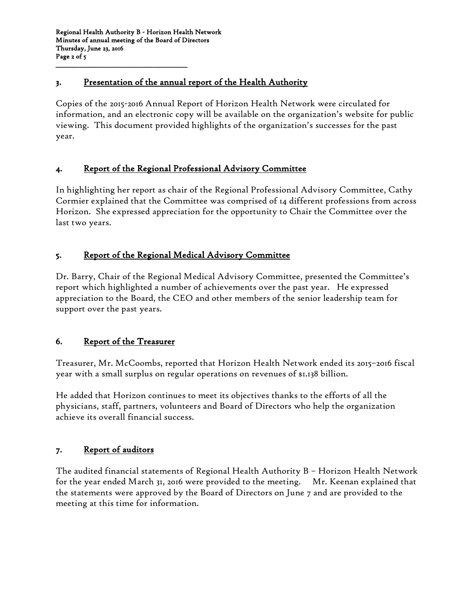\_\_\_\_\_\_\_\_\_\_\_\_\_\_\_\_\_\_\_\_\_\_\_\_\_\_\_\_\_\_\_\_\_\_\_\_\_\_\_\_\_\_\_\_\_\_\_

# 3. Presentation of the annual report of the Health Authority

Copies of the 2015-2016 Annual Report of Horizon Health Network were circulated for information, and an electronic copy will be available on the organization's website for public viewing. This document provided highlights of the organization's successes for the past year.

# 4. Report of the Regional Professional Advisory Committee

In highlighting her report as chair of the Regional Professional Advisory Committee, Cathy Cormier explained that the Committee was comprised of 14 different professions from across Horizon. She expressed appreciation for the opportunity to Chair the Committee over the last two years.

# 5. Report of the Regional Medical Advisory Committee

Dr. Barry, Chair of the Regional Medical Advisory Committee, presented the Committee's report which highlighted a number of achievements over the past year. He expressed appreciation to the Board, the CEO and other members of the senior leadership team for support over the past years.

### 6. Report of the Treasurer

Treasurer, Mr. McCoombs, reported that Horizon Health Network ended its 2015–2016 fiscal year with a small surplus on regular operations on revenues of \$1.138 billion.

He added that Horizon continues to meet its objectives thanks to the efforts of all the physicians, staff, partners, volunteers and Board of Directors who help the organization achieve its overall financial success.

### 7. Report of auditors

The audited financial statements of Regional Health Authority B – Horizon Health Network for the year ended March 31, 2016 were provided to the meeting. Mr. Keenan explained that the statements were approved by the Board of Directors on June 7 and are provided to the meeting at this time for information.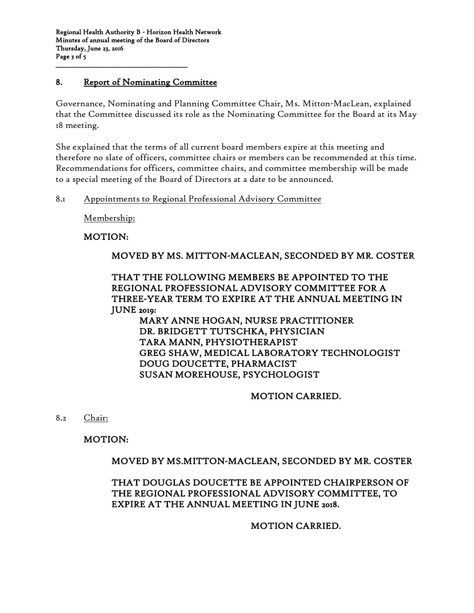Regional Health Authority B - Horizon Health Network Minutes of annual meeting of the Board of Directors Thursday, June 23, 2016 Page 3 of 5

#### 8. Report of Nominating Committee

\_\_\_\_\_\_\_\_\_\_\_\_\_\_\_\_\_\_\_\_\_\_\_\_\_\_\_\_\_\_\_\_\_\_\_\_\_\_\_\_\_\_\_\_\_\_\_

Governance, Nominating and Planning Committee Chair, Ms. Mitton-MacLean, explained that the Committee discussed its role as the Nominating Committee for the Board at its May 18 meeting.

She explained that the terms of all current board members expire at this meeting and therefore no slate of officers, committee chairs or members can be recommended at this time. Recommendations for officers, committee chairs, and committee membership will be made to a special meeting of the Board of Directors at a date to be announced.

#### 8.1 Appointments to Regional Professional Advisory Committee

Membership:

### MOTION:

### MOVED BY MS. MITTON-MACLEAN, SECONDED BY MR. COSTER

### THAT THE FOLLOWING MEMBERS BE APPOINTED TO THE REGIONAL PROFESSIONAL ADVISORY COMMITTEE FOR A THREE-YEAR TERM TO EXPIRE AT THE ANNUAL MEETING IN JUNE 2019:

MARY ANNE HOGAN, NURSE PRACTITIONER DR. BRIDGETT TUTSCHKA, PHYSICIAN TARA MANN, PHYSIOTHERAPIST GREG SHAW, MEDICAL LABORATORY TECHNOLOGIST DOUG DOUCETTE, PHARMACIST SUSAN MOREHOUSE, PSYCHOLOGIST

#### MOTION CARRIED.

8.2 Chair:

### MOTION:

### MOVED BY MS.MITTON-MACLEAN, SECONDED BY MR. COSTER

### THAT DOUGLAS DOUCETTE BE APPOINTED CHAIRPERSON OF THE REGIONAL PROFESSIONAL ADVISORY COMMITTEE, TO EXPIRE AT THE ANNUAL MEETING IN JUNE 2018.

#### MOTION CARRIED.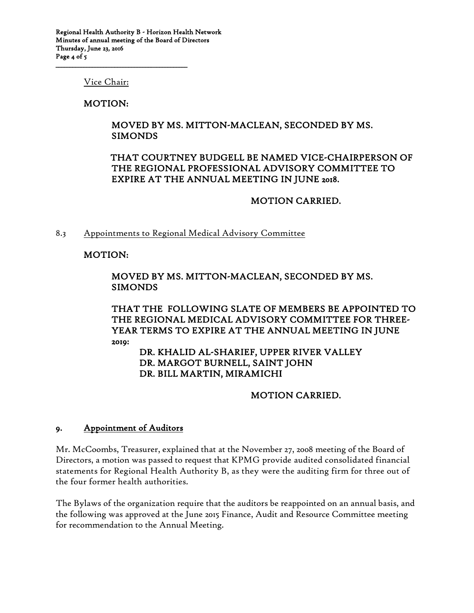Vice Chair:

\_\_\_\_\_\_\_\_\_\_\_\_\_\_\_\_\_\_\_\_\_\_\_\_\_\_\_\_\_\_\_\_\_\_\_\_\_\_\_\_\_\_\_\_\_\_\_

#### MOTION:

#### MOVED BY MS. MITTON-MACLEAN, SECONDED BY MS. SIMONDS

### THAT COURTNEY BUDGELL BE NAMED VICE-CHAIRPERSON OF THE REGIONAL PROFESSIONAL ADVISORY COMMITTEE TO EXPIRE AT THE ANNUAL MEETING IN JUNE 2018.

#### MOTION CARRIED.

#### 8.3 Appointments to Regional Medical Advisory Committee

#### MOTION:

### MOVED BY MS. MITTON-MACLEAN, SECONDED BY MS. SIMONDS

#### THAT THE FOLLOWING SLATE OF MEMBERS BE APPOINTED TO THE REGIONAL MEDICAL ADVISORY COMMITTEE FOR THREE-YEAR TERMS TO EXPIRE AT THE ANNUAL MEETING IN JUNE 2019:

#### DR. KHALID AL-SHARIEF, UPPER RIVER VALLEY DR. MARGOT BURNELL, SAINT JOHN DR. BILL MARTIN, MIRAMICHI

#### MOTION CARRIED.

#### 9. Appointment of Auditors

Mr. McCoombs, Treasurer, explained that at the November 27, 2008 meeting of the Board of Directors, a motion was passed to request that KPMG provide audited consolidated financial statements for Regional Health Authority B, as they were the auditing firm for three out of the four former health authorities.

The Bylaws of the organization require that the auditors be reappointed on an annual basis, and the following was approved at the June 2015 Finance, Audit and Resource Committee meeting for recommendation to the Annual Meeting.